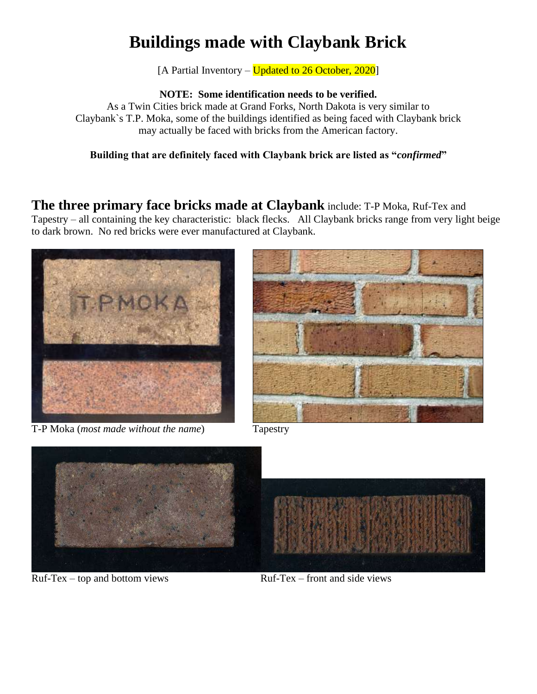# **Buildings made with Claybank Brick**

[A Partial Inventory – Updated to 26 October, 2020]

**NOTE: Some identification needs to be verified.**

As a Twin Cities brick made at Grand Forks, North Dakota is very similar to Claybank`s T.P. Moka, some of the buildings identified as being faced with Claybank brick may actually be faced with bricks from the American factory.

**Building that are definitely faced with Claybank brick are listed as "***confirmed***"**

**The three primary face bricks made at Claybank** include: T-P Moka, Ruf-Tex and Tapestry – all containing the key characteristic: black flecks. All Claybank bricks range from very light beige to dark brown. No red bricks were ever manufactured at Claybank.



T-P Moka (*most made without the name*) Tapestry





 $Ruf-Tex - top$  and bottom views  $Ruf-Tex - front$  and side views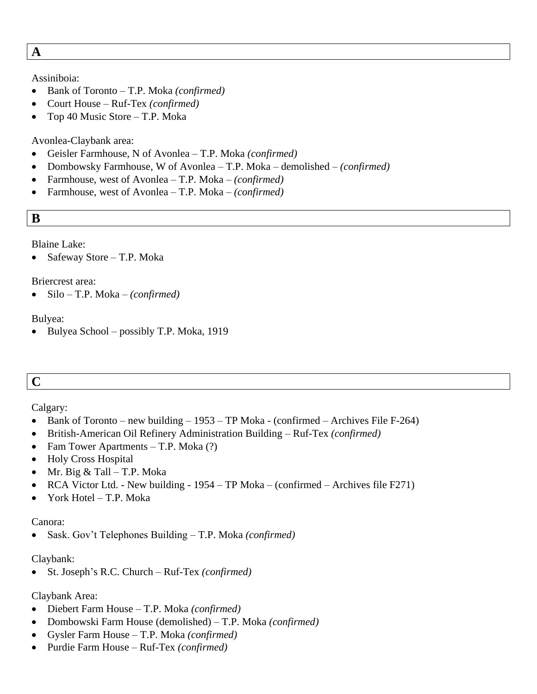**A**

#### Assiniboia:

- Bank of Toronto T.P. Moka *(confirmed)*
- Court House Ruf-Tex *(confirmed)*
- Top 40 Music Store T.P. Moka

# Avonlea-Claybank area:

- Geisler Farmhouse, N of Avonlea T.P. Moka *(confirmed)*
- Dombowsky Farmhouse, W of Avonlea T.P. Moka demolished *(confirmed)*
- Farmhouse, west of Avonlea T.P. Moka *(confirmed)*
- Farmhouse, west of Avonlea T.P. Moka *(confirmed)*

**B**

Blaine Lake:

• Safeway Store – T.P. Moka

Briercrest area:

• Silo – T.P. Moka – *(confirmed)*

Bulyea:

• Bulyea School – possibly T.P. Moka, 1919

# **C**

Calgary:

- Bank of Toronto new building  $-1953$  TP Moka (confirmed Archives File F-264)
- British-American Oil Refinery Administration Building Ruf-Tex *(confirmed)*
- Fam Tower Apartments T.P. Moka (?)
- Holy Cross Hospital
- Mr. Big & Tall T.P. Moka
- RCA Victor Ltd. New building 1954 TP Moka (confirmed Archives file F271)
- York Hotel T.P. Moka

Canora:

• Sask. Gov't Telephones Building – T.P. Moka *(confirmed)*

# Claybank:

• St. Joseph's R.C. Church – Ruf-Tex *(confirmed)*

# Claybank Area:

- Diebert Farm House T.P. Moka *(confirmed)*
- Dombowski Farm House (demolished) T.P. Moka *(confirmed)*
- Gysler Farm House T.P. Moka *(confirmed)*
- Purdie Farm House Ruf-Tex *(confirmed)*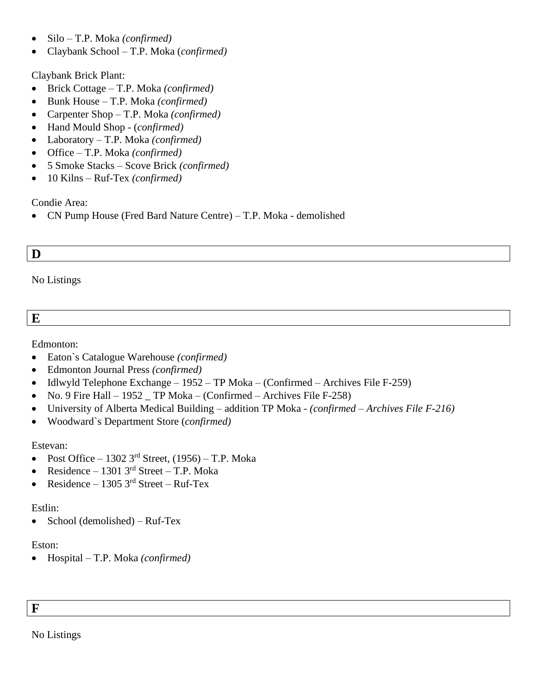- Silo T.P. Moka *(confirmed)*
- Claybank School T.P. Moka (*confirmed)*

Claybank Brick Plant:

- Brick Cottage T.P. Moka *(confirmed)*
- Bunk House T.P. Moka *(confirmed)*
- Carpenter Shop T.P. Moka *(confirmed)*
- Hand Mould Shop (*confirmed)*
- Laboratory T.P. Moka *(confirmed)*
- Office T.P. Moka *(confirmed)*
- 5 Smoke Stacks Scove Brick *(confirmed)*
- 10 Kilns Ruf-Tex *(confirmed)*

Condie Area:

• CN Pump House (Fred Bard Nature Centre) – T.P. Moka - demolished

# **D**

No Listings

# **E**

Edmonton:

- Eaton`s Catalogue Warehouse *(confirmed)*
- Edmonton Journal Press *(confirmed)*
- Idlwyld Telephone Exchange 1952 TP Moka (Confirmed Archives File F-259)
- No. 9 Fire Hall 1952  $\Gamma$  TP Moka (Confirmed Archives File F-258)
- University of Alberta Medical Building addition TP Moka *(confirmed – Archives File F-216)*
- Woodward`s Department Store (*confirmed)*

# Estevan:

- Post Office 1302  $3<sup>rd</sup>$  Street, (1956) T.P. Moka
- Residence 1301  $3<sup>rd</sup>$  Street T.P. Moka
- Residence 1305  $3<sup>rd</sup>$  Street Ruf-Tex

# Estlin:

• School (demolished) – Ruf-Tex

# Eston:

• Hospital – T.P. Moka *(confirmed)*

No Listings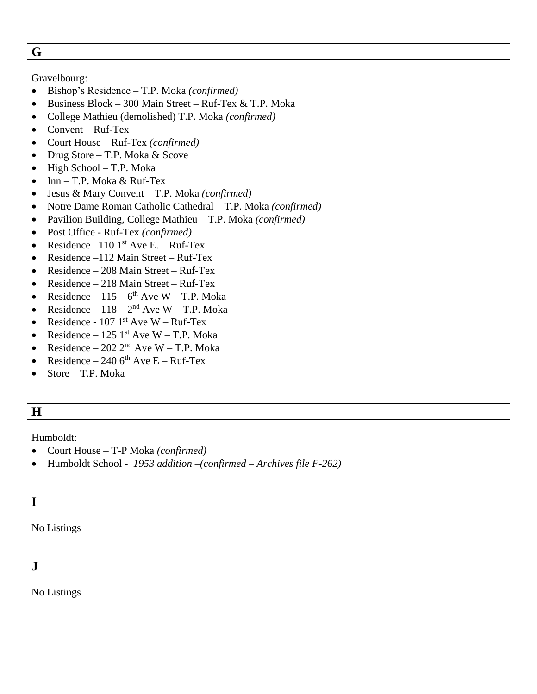**G**

# Gravelbourg:

- Bishop's Residence T.P. Moka *(confirmed)*
- Business Block 300 Main Street Ruf-Tex & T.P. Moka
- College Mathieu (demolished) T.P. Moka *(confirmed)*
- Convent Ruf-Tex
- Court House Ruf-Tex *(confirmed)*
- Drug Store T.P. Moka & Scove
- High School T.P. Moka
- Inn T.P. Moka & Ruf-Tex
- Jesus & Mary Convent T.P. Moka *(confirmed)*
- Notre Dame Roman Catholic Cathedral T.P. Moka *(confirmed)*
- Pavilion Building, College Mathieu T.P. Moka *(confirmed)*
- Post Office Ruf-Tex *(confirmed)*
- Residence –110  $1<sup>st</sup>$  Ave E. Ruf-Tex
- Residence –112 Main Street Ruf-Tex
- Residence 208 Main Street Ruf-Tex
- Residence 218 Main Street Ruf-Tex
- Residence  $115 6$ <sup>th</sup> Ave W T.P. Moka
- Residence  $118 2<sup>nd</sup>$  Ave W T.P. Moka
- Residence  $107 \, 1^{\text{st}}$  Ave W Ruf-Tex
- Residence 125 1st Ave W T.P. Moka
- Residence 202  $2<sup>nd</sup>$  Ave W T.P. Moka
- Residence 240  $6<sup>th</sup>$  Ave E Ruf-Tex
- Store T.P. Moka
- **H**

Humboldt:

- Court House T-P Moka *(confirmed)*
- Humboldt School *- 1953 addition –(confirmed – Archives file F-262)*

# **I**

No Listings

**J**

No Listings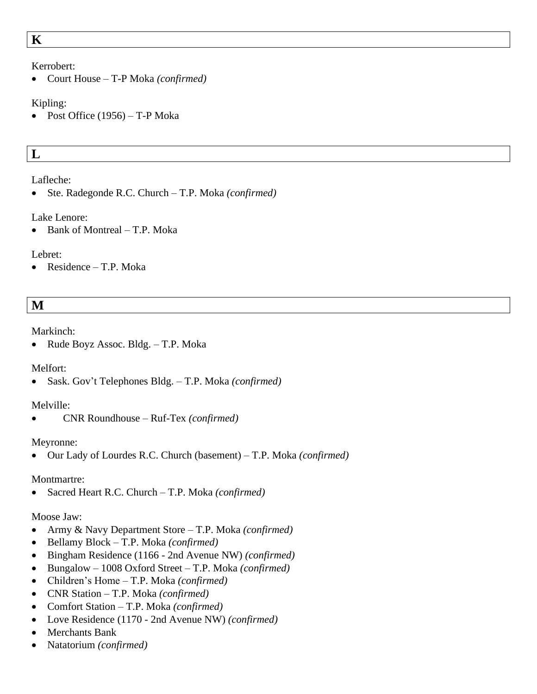#### Kerrobert:

• Court House – T-P Moka *(confirmed)*

#### Kipling:

• Post Office  $(1956)$  – T-P Moka

# **L**

# Lafleche:

• Ste. Radegonde R.C. Church – T.P. Moka *(confirmed)*

# Lake Lenore:

• Bank of Montreal – T.P. Moka

# Lebret:

• Residence – T.P. Moka

# **M**

# Markinch:

• Rude Boyz Assoc. Bldg. – T.P. Moka

# Melfort:

• Sask. Gov't Telephones Bldg. – T.P. Moka *(confirmed)*

# Melville:

• CNR Roundhouse – Ruf-Tex *(confirmed)*

# Meyronne:

• Our Lady of Lourdes R.C. Church (basement) – T.P. Moka *(confirmed)*

# Montmartre:

• Sacred Heart R.C. Church – T.P. Moka *(confirmed)*

# Moose Jaw:

- Army & Navy Department Store T.P. Moka *(confirmed)*
- Bellamy Block T.P. Moka *(confirmed)*
- Bingham Residence (1166 2nd Avenue NW) *(confirmed)*
- Bungalow 1008 Oxford Street T.P. Moka *(confirmed)*
- Children's Home T.P. Moka *(confirmed)*
- CNR Station T.P. Moka *(confirmed)*
- Comfort Station T.P. Moka *(confirmed)*
- Love Residence (1170 2nd Avenue NW) *(confirmed)*
- Merchants Bank
- Natatorium *(confirmed)*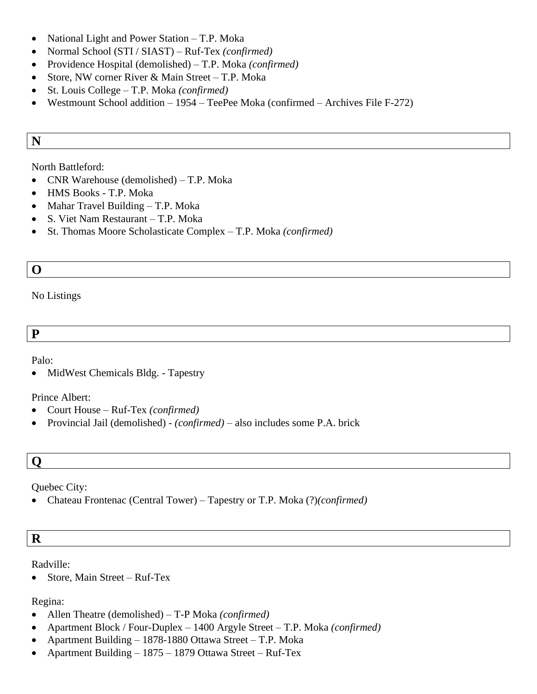- National Light and Power Station T.P. Moka
- Normal School (STI / SIAST) Ruf-Tex *(confirmed)*
- Providence Hospital (demolished) T.P. Moka *(confirmed)*
- Store, NW corner River & Main Street T.P. Moka
- St. Louis College T.P. Moka *(confirmed)*
- Westmount School addition 1954 TeePee Moka (confirmed Archives File F-272)

# **N**

#### North Battleford:

- CNR Warehouse (demolished) T.P. Moka
- HMS Books T.P. Moka
- Mahar Travel Building T.P. Moka
- S. Viet Nam Restaurant T.P. Moka
- St. Thomas Moore Scholasticate Complex T.P. Moka *(confirmed)*

# **O**

#### No Listings

**P**

Palo:

• MidWest Chemicals Bldg. - Tapestry

#### Prince Albert:

- Court House Ruf-Tex *(confirmed)*
- Provincial Jail (demolished) *(confirmed) –* also includes some P.A. brick

# **Q**

Quebec City:

• Chateau Frontenac (Central Tower) – Tapestry or T.P. Moka (?)*(confirmed)*

# **R**

Radville:

• Store, Main Street – Ruf-Tex

#### Regina:

- Allen Theatre (demolished) T-P Moka *(confirmed)*
- Apartment Block / Four-Duplex 1400 Argyle Street T.P. Moka *(confirmed)*
- Apartment Building 1878-1880 Ottawa Street T.P. Moka
- Apartment Building 1875 1879 Ottawa Street Ruf-Tex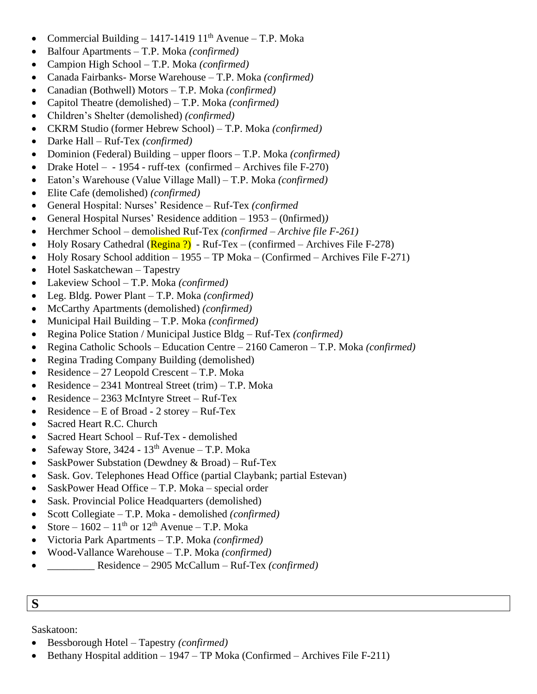- Commercial Building 1417-1419  $11<sup>th</sup>$  Avenue T.P. Moka
- Balfour Apartments T.P. Moka *(confirmed)*
- Campion High School T.P. Moka *(confirmed)*
- Canada Fairbanks- Morse Warehouse T.P. Moka *(confirmed)*
- Canadian (Bothwell) Motors T.P. Moka *(confirmed)*
- Capitol Theatre (demolished) T.P. Moka *(confirmed)*
- Children's Shelter (demolished) *(confirmed)*
- CKRM Studio (former Hebrew School) T.P. Moka *(confirmed)*
- Darke Hall Ruf-Tex *(confirmed)*
- Dominion (Federal) Building upper floors T.P. Moka *(confirmed)*
- Drake Hotel  $-$  1954 ruff-tex (confirmed  $-$  Archives file F-270)
- Eaton's Warehouse (Value Village Mall) T.P. Moka *(confirmed)*
- Elite Cafe (demolished) *(confirmed)*
- General Hospital: Nurses' Residence Ruf-Tex *(confirmed*
- General Hospital Nurses' Residence addition 1953 (0nfirmed)*)*
- Herchmer School demolished Ruf-Tex *(confirmed – Archive file F-261)*
- Holy Rosary Cathedral ( $\overline{\text{Regina ?}}$ ) Ruf-Tex (confirmed Archives File F-278)
- Holy Rosary School addition 1955 TP Moka (Confirmed Archives File F-271)
- Hotel Saskatchewan Tapestry
- Lakeview School T.P. Moka *(confirmed)*
- Leg. Bldg. Power Plant T.P. Moka *(confirmed)*
- McCarthy Apartments (demolished) *(confirmed)*
- Municipal Hail Building T.P. Moka *(confirmed)*
- Regina Police Station / Municipal Justice Bldg Ruf-Tex *(confirmed)*
- Regina Catholic Schools Education Centre 2160 Cameron T.P. Moka *(confirmed)*
- Regina Trading Company Building (demolished)
- Residence 27 Leopold Crescent T.P. Moka
- Residence 2341 Montreal Street (trim) T.P. Moka
- Residence 2363 McIntyre Street Ruf-Tex
- Residence E of Broad 2 storey Ruf-Tex
- Sacred Heart R.C. Church
- Sacred Heart School Ruf-Tex demolished
- Safeway Store,  $3424 13^{th}$  Avenue T.P. Moka
- SaskPower Substation (Dewdney & Broad) Ruf-Tex
- Sask. Gov. Telephones Head Office (partial Claybank; partial Estevan)
- SaskPower Head Office T.P. Moka special order
- Sask. Provincial Police Headquarters (demolished)
- Scott Collegiate T.P. Moka demolished *(confirmed)*
- Store  $1602 11$ <sup>th</sup> or  $12$ <sup>th</sup> Avenue T.P. Moka
- Victoria Park Apartments T.P. Moka *(confirmed)*
- Wood-Vallance Warehouse T.P. Moka *(confirmed)*
- \_\_\_\_\_\_\_\_\_ Residence 2905 McCallum Ruf-Tex *(confirmed)*

# **S**

Saskatoon:

- Bessborough Hotel Tapestry *(confirmed)*
- Bethany Hospital addition  $-1947 TP$  Moka (Confirmed  $-$  Archives File F-211)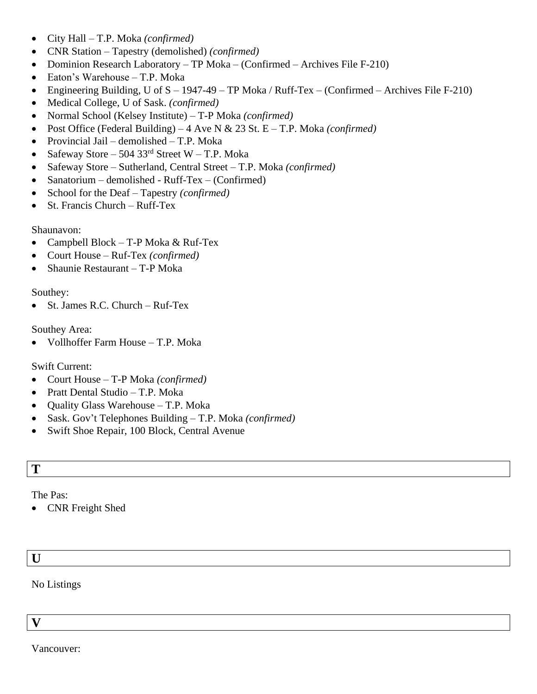- City Hall T.P. Moka *(confirmed)*
- CNR Station Tapestry (demolished) *(confirmed)*
- Dominion Research Laboratory TP Moka (Confirmed Archives File F-210)
- Eaton's Warehouse T.P. Moka
- Engineering Building, U of  $S 1947-49 TP Moka / Ruff-Tex (Confirmed Archives File F-210)$
- Medical College, U of Sask. *(confirmed)*
- Normal School (Kelsey Institute) T-P Moka *(confirmed)*
- Post Office (Federal Building) 4 Ave N & 23 St. E T.P. Moka *(confirmed)*
- Provincial Jail demolished T.P. Moka
- Safeway Store 504 33 $^{rd}$  Street W T.P. Moka
- Safeway Store Sutherland, Central Street T.P. Moka *(confirmed)*
- Sanatorium demolished Ruff-Tex (Confirmed)
- School for the Deaf Tapestry *(confirmed)*
- St. Francis Church Ruff-Tex

#### Shaunavon:

- Campbell Block T-P Moka & Ruf-Tex
- Court House Ruf-Tex *(confirmed)*
- Shaunie Restaurant T-P Moka

#### Southey:

• St. James R.C. Church – Ruf-Tex

#### Southey Area:

• Vollhoffer Farm House – T.P. Moka

# Swift Current:

- Court House T-P Moka *(confirmed)*
- Pratt Dental Studio T.P. Moka
- Quality Glass Warehouse T.P. Moka
- Sask. Gov't Telephones Building T.P. Moka *(confirmed)*
- Swift Shoe Repair, 100 Block, Central Avenue

# **T**

# The Pas:

• CNR Freight Shed

# **U**

No Listings

**V**

Vancouver: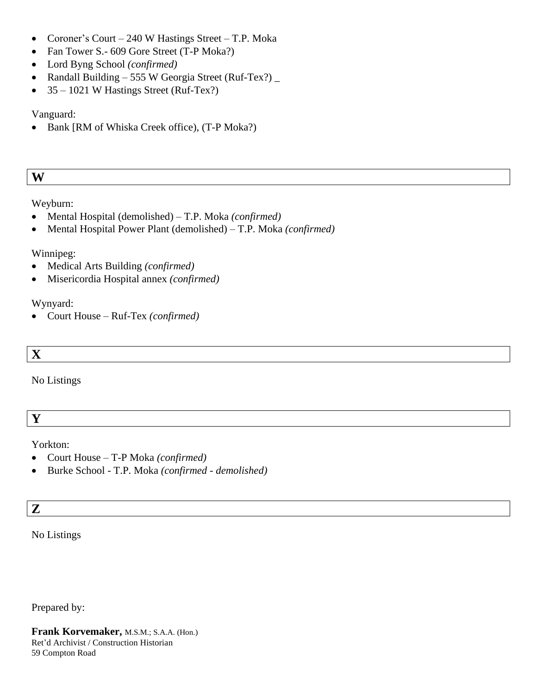- Coroner's Court 240 W Hastings Street T.P. Moka
- Fan Tower S.- 609 Gore Street (T-P Moka?)
- Lord Byng School *(confirmed)*
- Randall Building 555 W Georgia Street (Ruf-Tex?)
- $35 1021$  W Hastings Street (Ruf-Tex?)

# Vanguard:

• Bank [RM of Whiska Creek office), (T-P Moka?)

# **W**

# Weyburn:

- Mental Hospital (demolished) T.P. Moka *(confirmed)*
- Mental Hospital Power Plant (demolished) T.P. Moka *(confirmed)*

# Winnipeg:

- Medical Arts Building *(confirmed)*
- Misericordia Hospital annex *(confirmed)*

# Wynyard:

• Court House – Ruf-Tex *(confirmed)*

# **X**

No Listings

**Y**

# Yorkton:

- Court House T-P Moka *(confirmed)*
- Burke School T.P. Moka *(confirmed - demolished)*

# **Z**

# No Listings

Prepared by:

**Frank Korvemaker,** M.S.M.; S.A.A. (Hon.) Ret'd Archivist / Construction Historian 59 Compton Road